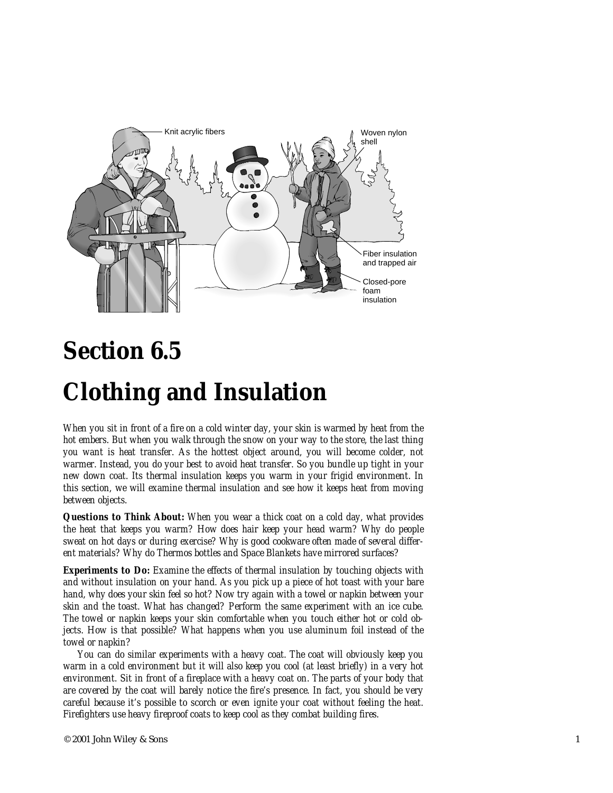

# **Section 6.5**

# **Clothing and Insulation**

*When you sit in front of a fire on a cold winter day, your skin is warmed by heat from the hot embers. But when you walk through the snow on your way to the store, the last thing you want is heat transfer. As the hottest object around, you will become colder, not warmer. Instead, you do your best to avoid heat transfer. So you bundle up tight in your new down coat. Its thermal insulation keeps you warm in your frigid environment. In this section, we will examine thermal insulation and see how it keeps heat from moving between objects.* 

*Questions to Think About: When you wear a thick coat on a cold day, what provides the heat that keeps you warm? How does hair keep your head warm? Why do people sweat on hot days or during exercise? Why is good cookware often made of several different materials? Why do Thermos bottles and Space Blankets have mirrored surfaces?* 

*Experiments to Do: Examine the effects of thermal insulation by touching objects with and without insulation on your hand. As you pick up a piece of hot toast with your bare hand, why does your skin feel so hot? Now try again with a towel or napkin between your skin and the toast. What has changed? Perform the same experiment with an ice cube. The towel or napkin keeps your skin comfortable when you touch either hot or cold objects. How is that possible? What happens when you use aluminum foil instead of the towel or napkin?* 

*You can do similar experiments with a heavy coat. The coat will obviously keep you warm in a cold environment but it will also keep you cool (at least briefly) in a very hot environment. Sit in front of a fireplace with a heavy coat on. The parts of your body that are covered by the coat will barely notice the fire's presence. In fact, you should be very careful because it's possible to scorch or even ignite your coat without feeling the heat. Firefighters use heavy fireproof coats to keep cool as they combat building fires.*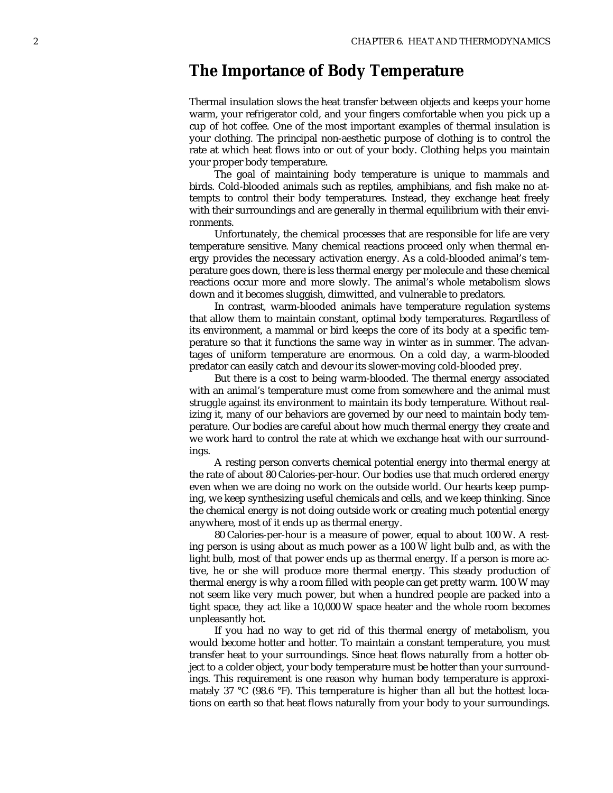### **The Importance of Body Temperature**

Thermal insulation slows the heat transfer between objects and keeps your home warm, your refrigerator cold, and your fingers comfortable when you pick up a cup of hot coffee. One of the most important examples of thermal insulation is your clothing. The principal non-aesthetic purpose of clothing is to control the rate at which heat flows into or out of your body. Clothing helps you maintain your proper body temperature.

The goal of maintaining body temperature is unique to mammals and birds. Cold-blooded animals such as reptiles, amphibians, and fish make no attempts to control their body temperatures. Instead, they exchange heat freely with their surroundings and are generally in thermal equilibrium with their environments.

Unfortunately, the chemical processes that are responsible for life are very temperature sensitive. Many chemical reactions proceed only when thermal energy provides the necessary activation energy. As a cold-blooded animal's temperature goes down, there is less thermal energy per molecule and these chemical reactions occur more and more slowly. The animal's whole metabolism slows down and it becomes sluggish, dimwitted, and vulnerable to predators.

In contrast, warm-blooded animals have temperature regulation systems that allow them to maintain constant, optimal body temperatures. Regardless of its environment, a mammal or bird keeps the core of its body at a specific temperature so that it functions the same way in winter as in summer. The advantages of uniform temperature are enormous. On a cold day, a warm-blooded predator can easily catch and devour its slower-moving cold-blooded prey.

But there is a cost to being warm-blooded. The thermal energy associated with an animal's temperature must come from somewhere and the animal must struggle against its environment to maintain its body temperature. Without realizing it, many of our behaviors are governed by our need to maintain body temperature. Our bodies are careful about how much thermal energy they create and we work hard to control the rate at which we exchange heat with our surroundings.

A resting person converts chemical potential energy into thermal energy at the rate of about 80 Calories-per-hour. Our bodies use that much ordered energy even when we are doing no work on the outside world. Our hearts keep pumping, we keep synthesizing useful chemicals and cells, and we keep thinking. Since the chemical energy is not doing outside work or creating much potential energy anywhere, most of it ends up as thermal energy.

80 Calories-per-hour is a measure of power, equal to about 100 W. A resting person is using about as much power as a 100 W light bulb and, as with the light bulb, most of that power ends up as thermal energy. If a person is more active, he or she will produce more thermal energy. This steady production of thermal energy is why a room filled with people can get pretty warm. 100 W may not seem like very much power, but when a hundred people are packed into a tight space, they act like a 10,000 W space heater and the whole room becomes unpleasantly hot.

If you had no way to get rid of this thermal energy of metabolism, you would become hotter and hotter. To maintain a constant temperature, you must transfer heat to your surroundings. Since heat flows naturally from a hotter object to a colder object, your body temperature must be hotter than your surroundings. This requirement is one reason why human body temperature is approximately 37 °C (98.6 °F). This temperature is higher than all but the hottest locations on earth so that heat flows naturally from your body to your surroundings.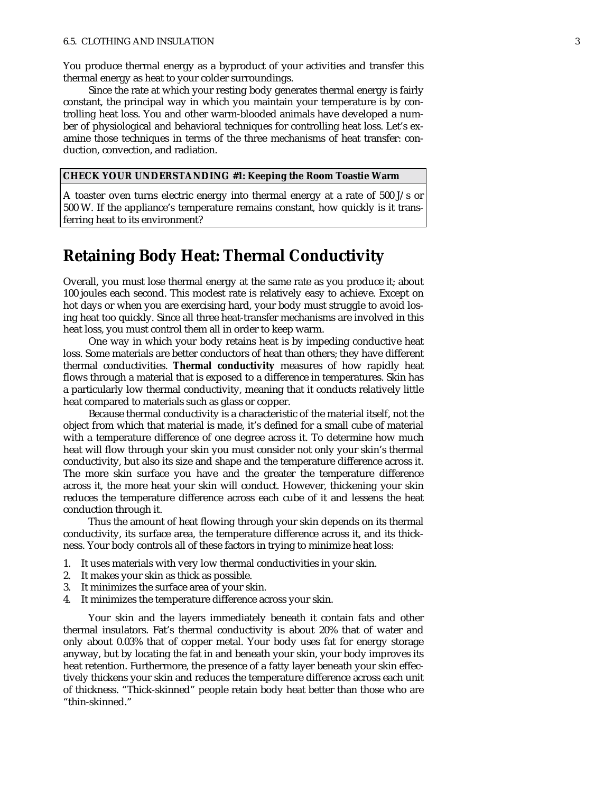You produce thermal energy as a byproduct of your activities and transfer this thermal energy as heat to your colder surroundings.

Since the rate at which your resting body generates thermal energy is fairly constant, the principal way in which you maintain your temperature is by controlling heat loss. You and other warm-blooded animals have developed a number of physiological and behavioral techniques for controlling heat loss. Let's examine those techniques in terms of the three mechanisms of heat transfer: conduction, convection, and radiation.

### **CHECK YOUR UNDERSTANDING #1: Keeping the Room Toastie Warm**

A toaster oven turns electric energy into thermal energy at a rate of 500 J/s or 500 W. If the appliance 's temperature remains constant, how quickly is it transferring heat to its environment?

### **Retaining Body Heat: Thermal Conductivity**

Overall, you must lose thermal energy at the same rate as you produce it; about 100 joules each second. This modest rate is relatively easy to achieve. Except on hot days or when you are exercising hard, your body must struggle to avoid losing heat too quickly. Since all three heat-transfer mechanisms are involved in this heat loss, you must control them all in order to keep warm.

One way in which your body retains heat is by impeding conductive heat loss. Some materials are better conductors of heat than others; they have different thermal conductivities. **Thermal conductivity** measures of how rapidly heat flows through a material that is exposed to a difference in temperatures. Skin has a particularly low thermal conductivity, meaning that it conducts relatively little heat compared to materials such as glass or copper.

Because thermal conductivity is a characteristic of the material itself, not the object from which that material is made, it 's defined for a small cube of material with a temperature difference of one degree across it. To determine how much heat will flow through your skin you must consider not only your skin 's thermal conductivity, but also its size and shape and the temperature difference across it. The more skin surface you have and the greater the temperature difference across it, the more heat your skin will conduct. However, thickening your skin reduces the temperature difference across each cube of it and lessens the heat conduction through it.

Thus the amount of heat flowing through your skin depends on its thermal conductivity, its surface area, the temperature difference across it, and its thickness. Your body controls all of these factors in trying to minimize heat loss:

- 1. It uses materials with very low thermal conductivities in your skin.
- 2. It makes your skin as thick as possible.
- 3. It minimizes the surface area of your skin.
- 4. It minimizes the temperature difference across your skin.

Your skin and the layers immediately beneath it contain fats and other thermal insulators. Fat's thermal conductivity is about 20% that of water and only about 0.03% that of copper metal. Your body uses fat for energy storage anyway, but by locating the fat in and beneath your skin, your body improves its heat retention. Furthermore, the presence of a fatty layer beneath your skin effectively thickens your skin and reduces the temperature difference across each unit of thickness. "Thick-skinned" people retain body heat better than those who are "thin-skinned. "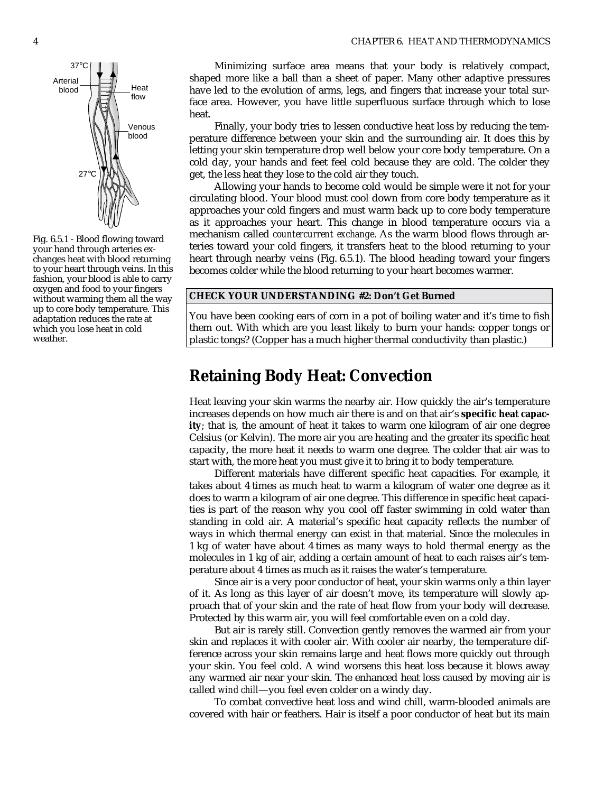

Fig. 6.5.1 - Blood flowing toward your hand through arteries exchanges heat with blood returning to your heart through veins. In this fashion, your blood is able to carry oxygen and food to your fingers without warming them all the way up to core body temperature. This adaptation reduces the rate at which you lose heat in cold weather.

Minimizing surface area means that your body is relatively compact, shaped more like a ball than a sheet of paper. Many other adaptive pressures have led to the evolution of arms, legs, and fingers that increase your total surface area. However, you have little superfluous surface through which to lose heat.

Finally, your body tries to lessen conductive heat loss by reducing the temperature difference between your skin and the surrounding air. It does this by letting your skin temperature drop well below your core body temperature. On a cold day, your hands and feet feel cold because they are cold. The colder they get, the less heat they lose to the cold air they touch.

Allowing your hands to become cold would be simple were it not for your circulating blood. Your blood must cool down from core body temperature as it approaches your cold fingers and must warm back up to core body temperature as it approaches your heart. This change in blood temperature occurs via a mechanism called *countercurrent exchange*. As the warm blood flows through arteries toward your cold fingers, it transfers heat to the blood returning to your heart through nearby veins (Fig. 6.5.1). The blood heading toward your fingers becomes colder while the blood returning to your heart becomes warmer.

### **CHECK YOUR UNDERSTANDING #2: Don't Get Burned**

You have been cooking ears of corn in a pot of boiling water and it's time to fish them out. With which are you least likely to burn your hands: copper tongs or plastic tongs? (Copper has a much higher thermal conductivity than plastic.)

# **Retaining Body Heat: Convection**

Heat leaving your skin warms the nearby air. How quickly the air's temperature increases depends on how much air there is and on that air's **specific heat capacity**; that is, the amount of heat it takes to warm one kilogram of air one degree Celsius (or Kelvin). The more air you are heating and the greater its specific heat capacity, the more heat it needs to warm one degree. The colder that air was to start with, the more heat you must give it to bring it to body temperature.

Different materials have different specific heat capacities. For example, it takes about 4 times as much heat to warm a kilogram of water one degree as it does to warm a kilogram of air one degree. This difference in specific heat capacities is part of the reason why you cool off faster swimming in cold water than standing in cold air. A material's specific heat capacity reflects the number of ways in which thermal energy can exist in that material. Since the molecules in 1 kg of water have about 4 times as many ways to hold thermal energy as the molecules in 1 kg of air, adding a certain amount of heat to each raises air's temperature about 4 times as much as it raises the water's temperature.

Since air is a very poor conductor of heat, your skin warms only a thin layer of it. As long as this layer of air doesn't move, its temperature will slowly approach that of your skin and the rate of heat flow from your body will decrease. Protected by this warm air, you will feel comfortable even on a cold day.

But air is rarely still. Convection gently removes the warmed air from your skin and replaces it with cooler air. With cooler air nearby, the temperature difference across your skin remains large and heat flows more quickly out through your skin. You feel cold. A wind worsens this heat loss because it blows away any warmed air near your skin. The enhanced heat loss caused by moving air is called *wind chill*—you feel even colder on a windy day.

To combat convective heat loss and wind chill, warm-blooded animals are covered with hair or feathers. Hair is itself a poor conductor of heat but its main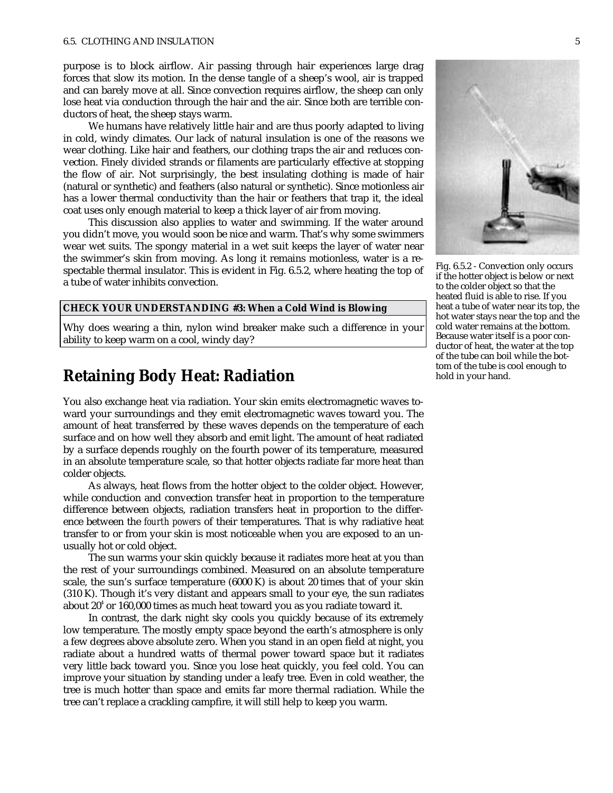purpose is to block airflow. Air passing through hair experiences large drag forces that slow its motion. In the dense tangle of a sheep's wool, air is trapped and can barely move at all. Since convection requires airflow, the sheep can only lose heat via conduction through the hair and the air. Since both are terrible conductors of heat, the sheep stays warm.

We humans have relatively little hair and are thus poorly adapted to living in cold, windy climates. Our lack of natural insulation is one of the reasons we wear clothing. Like hair and feathers, our clothing traps the air and reduces convection. Finely divided strands or filaments are particularly effective at stopping the flow of air. Not surprisingly, the best insulating clothing is made of hair (natural or synthetic) and feathers (also natural or synthetic). Since motionless air has a lower thermal conductivity than the hair or feathers that trap it, the ideal coat uses only enough material to keep a thick layer of air from moving.

This discussion also applies to water and swimming. If the water around you didn't move, you would soon be nice and warm. That's why some swimmers wear wet suits. The spongy material in a wet suit keeps the layer of water near the swimmer's skin from moving. As long it remains motionless, water is a respectable thermal insulator. This is evident in Fig. 6.5.2, where heating the top of a tube of water inhibits convection.

### **CHECK YOUR UNDERSTANDING #3: When a Cold Wind is Blowing**

Why does wearing a thin, nylon wind breaker make such a difference in your ability to keep warm on a cool, windy day?

# **Retaining Body Heat: Radiation**

You also exchange heat via radiation. Your skin emits electromagnetic waves toward your surroundings and they emit electromagnetic waves toward you. The amount of heat transferred by these waves depends on the temperature of each surface and on how well they absorb and emit light. The amount of heat radiated by a surface depends roughly on the fourth power of its temperature, measured in an absolute temperature scale, so that hotter objects radiate far more heat than colder objects.

As always, heat flows from the hotter object to the colder object. However, while conduction and convection transfer heat in proportion to the temperature difference between objects, radiation transfers heat in proportion to the difference between the *fourth powers* of their temperatures. That is why radiative heat transfer to or from your skin is most noticeable when you are exposed to an unusually hot or cold object.

The sun warms your skin quickly because it radiates more heat at you than the rest of your surroundings combined. Measured on an absolute temperature scale, the sun's surface temperature (6000 K) is about 20 times that of your skin (310 K). Though it's very distant and appears small to your eye, the sun radiates about 20 $^4$  or 160,000 times as much heat toward you as you radiate toward it.

In contrast, the dark night sky cools you quickly because of its extremely low temperature. The mostly empty space beyond the earth's atmosphere is only a few degrees above absolute zero. When you stand in an open field at night, you radiate about a hundred watts of thermal power toward space but it radiates very little back toward you. Since you lose heat quickly, you feel cold. You can improve your situation by standing under a leafy tree. Even in cold weather, the tree is much hotter than space and emits far more thermal radiation. While the tree can't replace a crackling campfire, it will still help to keep you warm.



if the hotter object is below or next to the colder object so that the heated fluid is able to rise. If you heat a tube of water near its top, the hot water stays near the top and the cold water remains at the bottom. Because water itself is a poor conductor of heat, the water at the top of the tube can boil while the bottom of the tube is cool enough to hold in your hand.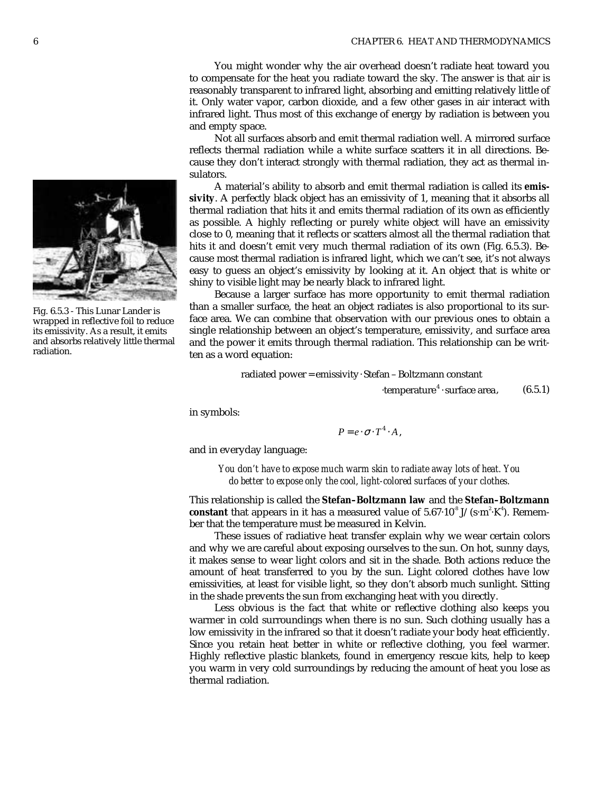You might wonder why the air overhead doesn't radiate heat toward you to compensate for the heat you radiate toward the sky. The answer is that air is reasonably transparent to infrared light, absorbing and emitting relatively little of it. Only water vapor, carbon dioxide, and a few other gases in air interact with infrared light. Thus most of this exchange of energy by radiation is between you and empty space.

Not all surfaces absorb and emit thermal radiation well. A mirrored surface reflects thermal radiation while a white surface scatters it in all directions. Because they don't interact strongly with thermal radiation, they act as thermal insulators.

A material's ability to absorb and emit thermal radiation is called its **emissivity**. A perfectly black object has an emissivity of 1, meaning that it absorbs all thermal radiation that hits it and emits thermal radiation of its own as efficiently as possible. A highly reflecting or purely white object will have an emissivity close to 0, meaning that it reflects or scatters almost all the thermal radiation that hits it and doesn't emit very much thermal radiation of its own (Fig. 6.5.3). Because most thermal radiation is infrared light, which we can't see, it's not always easy to guess an object's emissivity by looking at it. An object that is white or shiny to visible light may be nearly black to infrared light.

Because a larger surface has more opportunity to emit thermal radiation than a smaller surface, the heat an object radiates is also proportional to its surface area. We can combine that observation with our previous ones to obtain a single relationship between an object's temperature, emissivity, and surface area and the power it emits through thermal radiation. This relationship can be written as a word equation:

radiated power = emissivity 
$$
\cdot
$$
 Stefan – Boltzmann constant

 $\cdot$  temperature<sup>4</sup> $\cdot$  surface area, (6.5.1)

in symbols:

$$
P = e \cdot \sigma \cdot T^4 \cdot A,
$$

and in everyday language:

*You don't have to expose much warm skin to radiate away lots of heat. You do better to expose only the cool, light-colored surfaces of your clothes.* 

This relationship is called the **Stefan–Boltzmann law** and the **Stefan–Boltzmann**   ${\bf constant}$  that appears in it has a measured value of  $5.67{\cdot}10^8$  J/(s ${\cdot}{\rm m^2\cdot K^4}$ ). Remember that the temperature must be measured in Kelvin.

These issues of radiative heat transfer explain why we wear certain colors and why we are careful about exposing ourselves to the sun. On hot, sunny days, it makes sense to wear light colors and sit in the shade. Both actions reduce the amount of heat transferred to you by the sun. Light colored clothes have low emissivities, at least for visible light, so they don't absorb much sunlight. Sitting in the shade prevents the sun from exchanging heat with you directly.

Less obvious is the fact that white or reflective clothing also keeps you warmer in cold surroundings when there is no sun. Such clothing usually has a low emissivity in the infrared so that it doesn't radiate your body heat efficiently. Since you retain heat better in white or reflective clothing, you feel warmer. Highly reflective plastic blankets, found in emergency rescue kits, help to keep you warm in very cold surroundings by reducing the amount of heat you lose as thermal radiation.



Fig. 6.5.3 - This Lunar Lander is wrapped in reflective foil to reduce its emissivity. As a result, it emits and absorbs relatively little thermal radiation.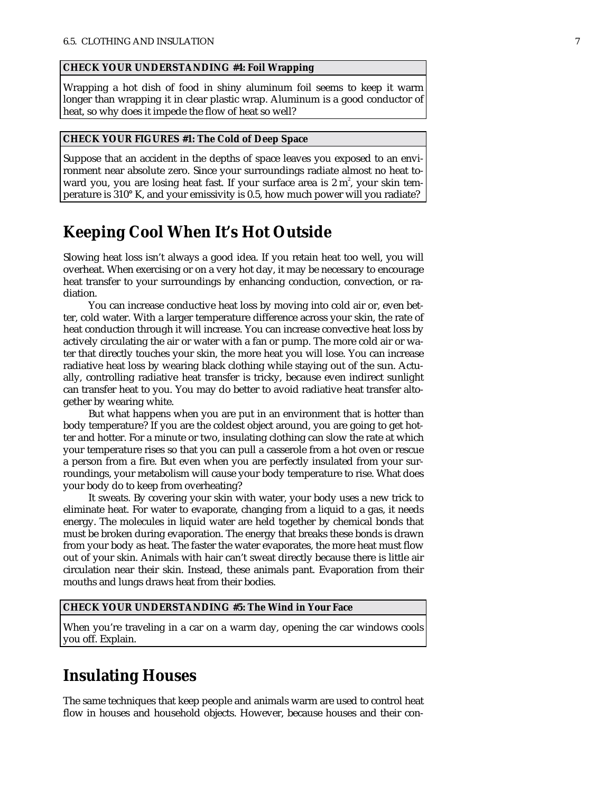### **CHECK YOUR UNDERSTANDING #4: Foil Wrapping**

Wrapping a hot dish of food in shiny aluminum foil seems to keep it warm longer than wrapping it in clear plastic wrap. Aluminum is a good conductor of heat, so why does it impede the flow of heat so well?

### **CHECK YOUR FIGURES #1: The Cold of Deep Space**

Suppose that an accident in the depths of space leaves you exposed to an environment near absolute zero. Since your surroundings radiate almost no heat toward you, you are losing heat fast. If your surface area is 2  $\mathrm{m}^{2}$ , your skin temperature is 310° K, and your emissivity is 0.5, how much power will you radiate?

# **Keeping Cool When It's Hot Outside**

Slowing heat loss isn't always a good idea. If you retain heat too well, you will overheat. When exercising or on a very hot day, it may be necessary to encourage heat transfer to your surroundings by enhancing conduction, convection, or radiation.

You can increase conductive heat loss by moving into cold air or, even better, cold water. With a larger temperature difference across your skin, the rate of heat conduction through it will increase. You can increase convective heat loss by actively circulating the air or water with a fan or pump. The more cold air or water that directly touches your skin, the more heat you will lose. You can increase radiative heat loss by wearing black clothing while staying out of the sun. Actually, controlling radiative heat transfer is tricky, because even indirect sunlight can transfer heat to you. You may do better to avoid radiative heat transfer altogether by wearing white.

But what happens when you are put in an environment that is hotter than body temperature? If you are the coldest object around, you are going to get hotter and hotter. For a minute or two, insulating clothing can slow the rate at which your temperature rises so that you can pull a casserole from a hot oven or rescue a person from a fire. But even when you are perfectly insulated from your surroundings, your metabolism will cause your body temperature to rise. What does your body do to keep from overheating?

It sweats. By covering your skin with water, your body uses a new trick to eliminate heat. For water to evaporate, changing from a liquid to a gas, it needs energy. The molecules in liquid water are held together by chemical bonds that must be broken during evaporation. The energy that breaks these bonds is drawn from your body as heat. The faster the water evaporates, the more heat must flow out of your skin. Animals with hair can't sweat directly because there is little air circulation near their skin. Instead, these animals pant. Evaporation from their mouths and lungs draws heat from their bodies.

#### **CHECK YOUR UNDERSTANDING #5: The Wind in Your Face**

When you're traveling in a car on a warm day, opening the car windows cools you off. Explain.

# **Insulating Houses**

The same techniques that keep people and animals warm are used to control heat flow in houses and household objects. However, because houses and their con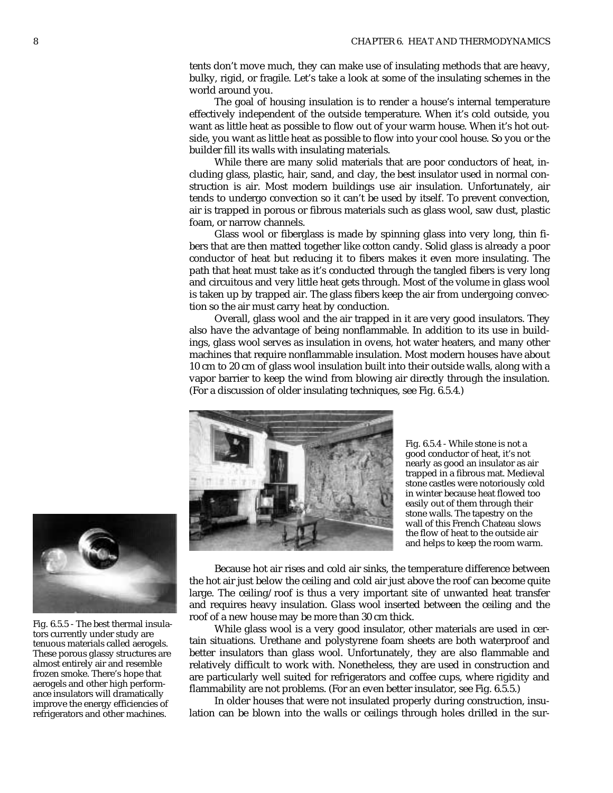tents don't move much, they can make use of insulating methods that are heavy, bulky, rigid, or fragile. Let's take a look at some of the insulating schemes in the world around you.

The goal of housing insulation is to render a house's internal temperature effectively independent of the outside temperature. When it's cold outside, you want as little heat as possible to flow out of your warm house. When it's hot outside, you want as little heat as possible to flow into your cool house. So you or the builder fill its walls with insulating materials.

While there are many solid materials that are poor conductors of heat, including glass, plastic, hair, sand, and clay, the best insulator used in normal construction is air. Most modern buildings use air insulation. Unfortunately, air tends to undergo convection so it can't be used by itself. To prevent convection, air is trapped in porous or fibrous materials such as glass wool, saw dust, plastic foam, or narrow channels.

Glass wool or fiberglass is made by spinning glass into very long, thin fibers that are then matted together like cotton candy. Solid glass is already a poor conductor of heat but reducing it to fibers makes it even more insulating. The path that heat must take as it's conducted through the tangled fibers is very long and circuitous and very little heat gets through. Most of the volume in glass wool is taken up by trapped air. The glass fibers keep the air from undergoing convection so the air must carry heat by conduction.

Overall, glass wool and the air trapped in it are very good insulators. They also have the advantage of being nonflammable. In addition to its use in buildings, glass wool serves as insulation in ovens, hot water heaters, and many other machines that require nonflammable insulation. Most modern houses have about 10 cm to 20 cm of glass wool insulation built into their outside walls, along with a vapor barrier to keep the wind from blowing air directly through the insulation. (For a discussion of older insulating techniques, see Fig. 6.5.4.)



Fig. 6.5.4 - While stone is not a good conductor of heat, it's not nearly as good an insulator as air trapped in a fibrous mat. Medieval stone castles were notoriously cold in winter because heat flowed too easily out of them through their stone walls. The tapestry on the wall of this French Chateau slows the flow of heat to the outside air and helps to keep the room warm.



Fig. 6.5.5 - The best thermal insulators currently under study are tenuous materials called aerogels. These porous glassy structures are almost entirely air and resemble frozen smoke. There's hope that aerogels and other high performance insulators will dramatically improve the energy efficiencies of refrigerators and other machines.

Because hot air rises and cold air sinks, the temperature difference between the hot air just below the ceiling and cold air just above the roof can become quite large. The ceiling/roof is thus a very important site of unwanted heat transfer and requires heavy insulation. Glass wool inserted between the ceiling and the roof of a new house may be more than 30 cm thick.

While glass wool is a very good insulator, other materials are used in certain situations. Urethane and polystyrene foam sheets are both waterproof and better insulators than glass wool. Unfortunately, they are also flammable and relatively difficult to work with. Nonetheless, they are used in construction and are particularly well suited for refrigerators and coffee cups, where rigidity and flammability are not problems. (For an even better insulator, see Fig. 6.5.5.)

In older houses that were not insulated properly during construction, insulation can be blown into the walls or ceilings through holes drilled in the sur-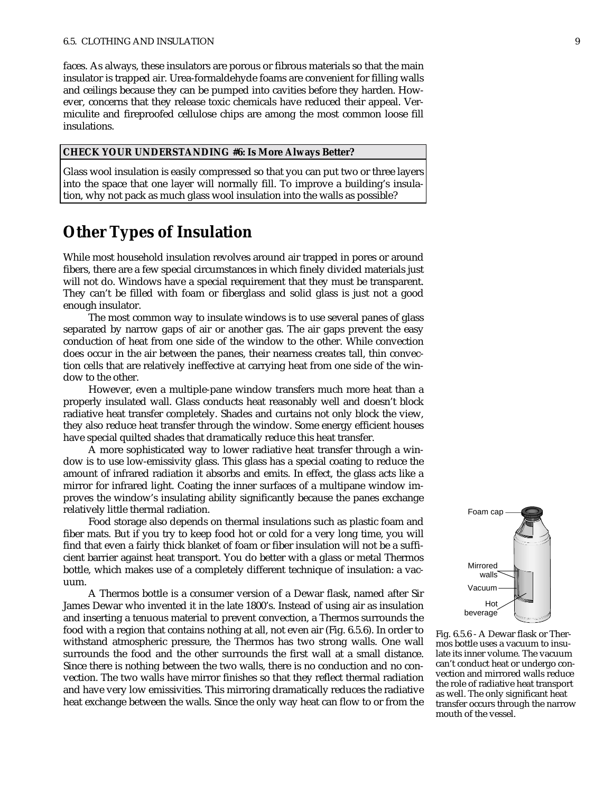faces. As always, these insulators are porous or fibrous materials so that the main insulator is trapped air. Urea-formaldehyde foams are convenient for filling walls and ceilings because they can be pumped into cavities before they harden. However, concerns that they release toxic chemicals have reduced their appeal. Vermiculite and fireproofed cellulose chips are among the most common loose fill insulations.

### **CHECK YOUR UNDERSTANDING #6: Is More Always Better?**

Glass wool insulation is easily compressed so that you can put two or three layers into the space that one layer will normally fill. To improve a building's insulation, why not pack as much glass wool insulation into the walls as possible?

# **Other Types of Insulation**

While most household insulation revolves around air trapped in pores or around fibers, there are a few special circumstances in which finely divided materials just will not do. Windows have a special requirement that they must be transparent. They can't be filled with foam or fiberglass and solid glass is just not a good enough insulator.

The most common way to insulate windows is to use several panes of glass separated by narrow gaps of air or another gas. The air gaps prevent the easy conduction of heat from one side of the window to the other. While convection does occur in the air between the panes, their nearness creates tall, thin convection cells that are relatively ineffective at carrying heat from one side of the window to the other.

However, even a multiple-pane window transfers much more heat than a properly insulated wall. Glass conducts heat reasonably well and doesn't block radiative heat transfer completely. Shades and curtains not only block the view, they also reduce heat transfer through the window. Some energy efficient houses have special quilted shades that dramatically reduce this heat transfer.

A more sophisticated way to lower radiative heat transfer through a window is to use low-emissivity glass. This glass has a special coating to reduce the amount of infrared radiation it absorbs and emits. In effect, the glass acts like a mirror for infrared light. Coating the inner surfaces of a multipane window improves the window's insulating ability significantly because the panes exchange relatively little thermal radiation.

Food storage also depends on thermal insulations such as plastic foam and fiber mats. But if you try to keep food hot or cold for a very long time, you will find that even a fairly thick blanket of foam or fiber insulation will not be a sufficient barrier against heat transport. You do better with a glass or metal Thermos bottle, which makes use of a completely different technique of insulation: a vacuum.

A Thermos bottle is a consumer version of a Dewar flask, named after Sir James Dewar who invented it in the late 1800's. Instead of using air as insulation and inserting a tenuous material to prevent convection, a Thermos surrounds the food with a region that contains nothing at all, not even air (Fig. 6.5.6). In order to withstand atmospheric pressure, the Thermos has two strong walls. One wall surrounds the food and the other surrounds the first wall at a small distance. Since there is nothing between the two walls, there is no conduction and no convection. The two walls have mirror finishes so that they reflect thermal radiation and have very low emissivities. This mirroring dramatically reduces the radiative heat exchange between the walls. Since the only way heat can flow to or from the



Fig. 6.5.6 - A Dewar flask or Thermos bottle uses a vacuum to insulate its inner volume. The vacuum can't conduct heat or undergo convection and mirrored walls reduce the role of radiative heat transport as well. The only significant heat transfer occurs through the narrow mouth of the vessel.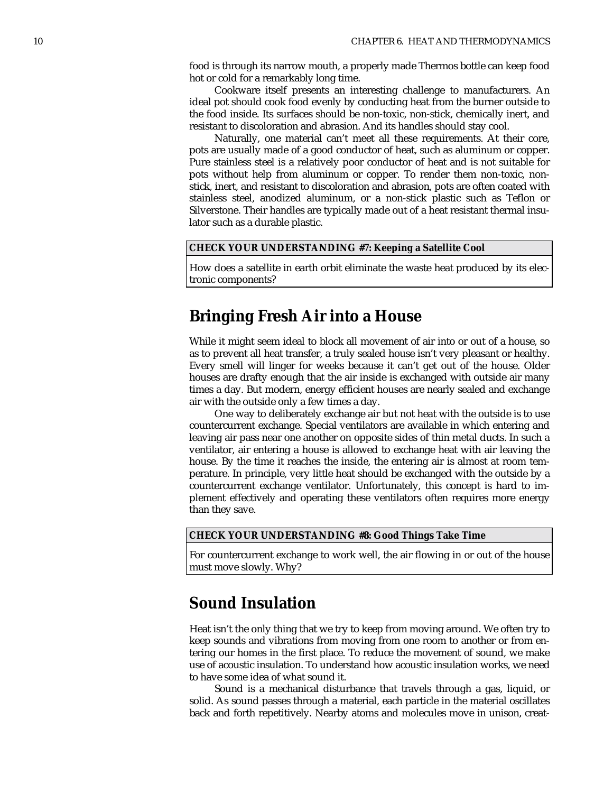food is through its narrow mouth, a properly made Thermos bottle can keep food hot or cold for a remarkably long time.

Cookware itself presents an interesting challenge to manufacturers. An ideal pot should cook food evenly by conducting heat from the burner outside to the food inside. Its surfaces should be non-toxic, non-stick, chemically inert, and resistant to discoloration and abrasion. And its handles should stay cool.

Naturally, one material can't meet all these requirements. At their core, pots are usually made of a good conductor of heat, such as aluminum or copper. Pure stainless steel is a relatively poor conductor of heat and is not suitable for pots without help from aluminum or copper. To render them non-toxic, nonstick, inert, and resistant to discoloration and abrasion, pots are often coated with stainless steel, anodized aluminum, or a non-stick plastic such as Teflon or Silverstone. Their handles are typically made out of a heat resistant thermal insulator such as a durable plastic.

#### **CHECK YOUR UNDERSTANDING #7: Keeping a Satellite Cool**

How does a satellite in earth orbit eliminate the waste heat produced by its electronic components?

## **Bringing Fresh Air into a House**

While it might seem ideal to block all movement of air into or out of a house, so as to prevent all heat transfer, a truly sealed house isn't very pleasant or healthy. Every smell will linger for weeks because it can't get out of the house. Older houses are drafty enough that the air inside is exchanged with outside air many times a day. But modern, energy efficient houses are nearly sealed and exchange air with the outside only a few times a day.

One way to deliberately exchange air but not heat with the outside is to use countercurrent exchange. Special ventilators are available in which entering and leaving air pass near one another on opposite sides of thin metal ducts. In such a ventilator, air entering a house is allowed to exchange heat with air leaving the house. By the time it reaches the inside, the entering air is almost at room temperature. In principle, very little heat should be exchanged with the outside by a countercurrent exchange ventilator. Unfortunately, this concept is hard to implement effectively and operating these ventilators often requires more energy than they save.

#### **CHECK YOUR UNDERSTANDING #8: Good Things Take Time**

For countercurrent exchange to work well, the air flowing in or out of the house must move slowly. Why?

### **Sound Insulation**

Heat isn't the only thing that we try to keep from moving around. We often try to keep sounds and vibrations from moving from one room to another or from entering our homes in the first place. To reduce the movement of sound, we make use of acoustic insulation. To understand how acoustic insulation works, we need to have some idea of what sound it.

Sound is a mechanical disturbance that travels through a gas, liquid, or solid. As sound passes through a material, each particle in the material oscillates back and forth repetitively. Nearby atoms and molecules move in unison, creat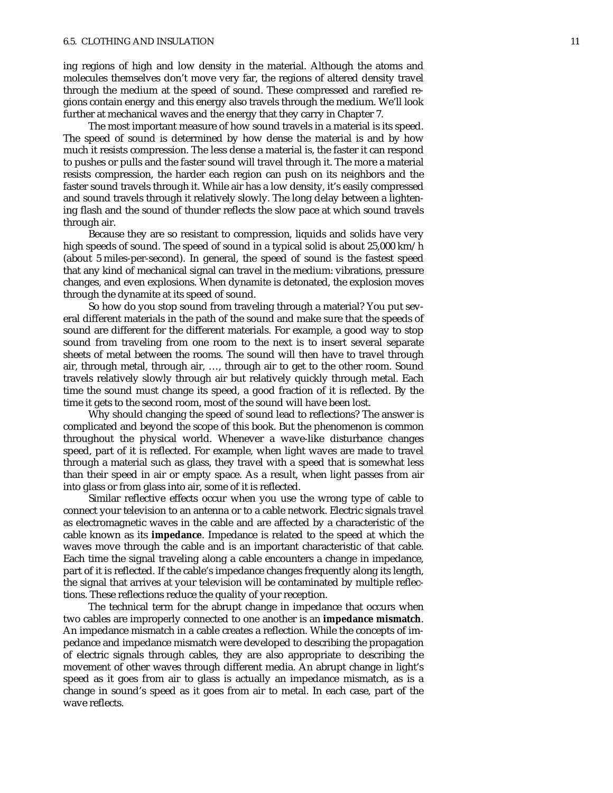ing regions of high and low density in the material. Although the atoms and molecules themselves don 't move very far, the regions of altered density travel through the medium at the speed of sound. These compressed and rarefied regions contain energy and this energy also travels through the medium. We'll look further at mechanical waves and the energy that they carry in Chapter 7.

The most important measure of how sound travels in a material is its speed. The speed of sound is determined by how dense the material is and by how much it resists compression. The less dense a material is, the faster it can respond to pushes or pulls and the faster sound will travel through it. The more a material resists compression, the harder each region can push on its neighbors and the faster sound travels through it. While air has a low density, it 's easily compressed and sound travels through it relatively slowly. The long delay between a lightening flash and the sound of thunder reflects the slow pace at which sound travels through air.

Because they are so resistant to compression, liquids and solids have very high speeds of sound. The speed of sound in a typical solid is about 25,000 km/h (about 5 miles-per-second). In general, the speed of sound is the fastest speed that any kind of mechanical signal can travel in the medium: vibrations, pressure changes, and even explosions. When dynamite is detonated, the explosion moves through the dynamite at its speed of sound.

So how do you stop sound from traveling through a material? You put several different materials in the path of the sound and make sure that the speeds of sound are different for the different materials. For example, a good way to stop sound from traveling from one room to the next is to insert several separate sheets of metal between the rooms. The sound will then have to travel through air, through metal, through air, …, through air to get to the other room. Sound travels relatively slowly through air but relatively quickly through metal. Each time the sound must change its speed, a good fraction of it is reflected. By the time it gets to the second room, most of the sound will have been lost.

Why should changing the speed of sound lead to reflections? The answer is complicated and beyond the scope of this book. But the phenomenon is common throughout the physical world. Whenever a wave-like disturbance changes speed, part of it is reflected. For example, when light waves are made to travel through a material such as glass, they travel with a speed that is somewhat less than their speed in air or empty space. As a result, when light passes from air into glass or from glass into air, some of it is reflected.

Similar reflective effects occur when you use the wrong type of cable to connect your television to an antenna or to a cable network. Electric signals travel as electromagnetic waves in the cable and are affected by a characteristic of the cable known as its **impedance**. Impedance is related to the speed at which the waves move through the cable and is an important characteristic of that cable. Each time the signal traveling along a cable encounters a change in impedance, part of it is reflected. If the cable 's impedance changes frequently along its length, the signal that arrives at your television will be contaminated by multiple reflections. These reflections reduce the quality of your reception.

The technical term for the abrupt change in impedance that occurs when two cables are improperly connected to one another is an **impedance mismatch**. An impedance mismatch in a cable creates a reflection. While the concepts of impedance and impedance mismatch were developed to describing the propagation of electric signals through cables, they are also appropriate to describing the movement of other waves through different media. An abrupt change in light 's speed as it goes from air to glass is actually an impedance mismatch, as is a change in sound 's speed as it goes from air to metal. In each case, part of the wave reflects.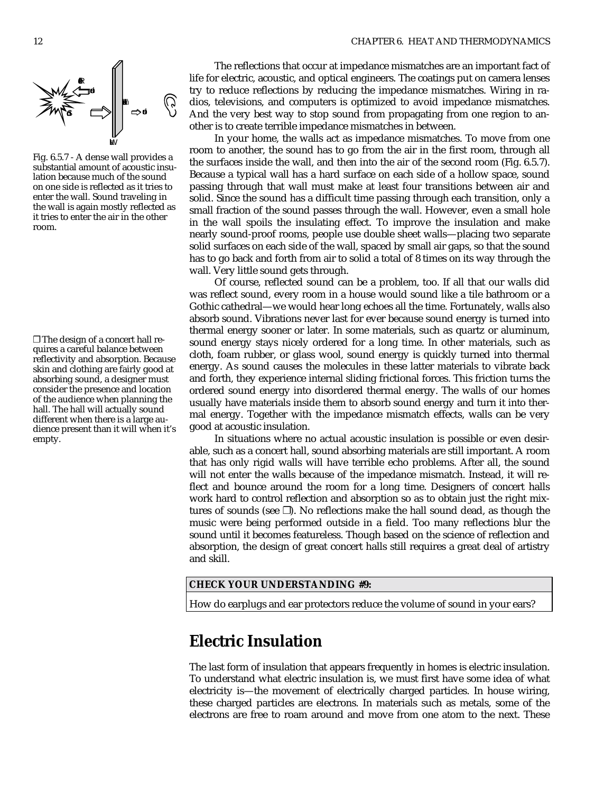

Fig. 6.5.7 - A dense wall provides a substantial amount of acoustic insulation because much of the sound on one side is reflected as it tries to enter the wall. Sound traveling in the wall is again mostly reflected as it tries to enter the air in the other room.

❐ The design of a concert hall requires a careful balance between reflectivity and absorption. Because skin and clothing are fairly good at absorbing sound, a designer must consider the presence and location of the audience when planning the hall. The hall will actually sound different when there is a large audience present than it will when it's empty.

The reflections that occur at impedance mismatches are an important fact of life for electric, acoustic, and optical engineers. The coatings put on camera lenses try to reduce reflections by reducing the impedance mismatches. Wiring in radios, televisions, and computers is optimized to avoid impedance mismatches. And the very best way to stop sound from propagating from one region to another is to create terrible impedance mismatches in between.

In your home, the walls act as impedance mismatches. To move from one room to another, the sound has to go from the air in the first room, through all the surfaces inside the wall, and then into the air of the second room (Fig. 6.5.7). Because a typical wall has a hard surface on each side of a hollow space, sound passing through that wall must make at least four transitions between air and solid. Since the sound has a difficult time passing through each transition, only a small fraction of the sound passes through the wall. However, even a small hole in the wall spoils the insulating effect. To improve the insulation and make nearly sound-proof rooms, people use double sheet walls—placing two separate solid surfaces on each side of the wall, spaced by small air gaps, so that the sound has to go back and forth from air to solid a total of 8 times on its way through the wall. Very little sound gets through.

Of course, reflected sound can be a problem, too. If all that our walls did was reflect sound, every room in a house would sound like a tile bathroom or a Gothic cathedral—we would hear long echoes all the time. Fortunately, walls also absorb sound. Vibrations never last for ever because sound energy is turned into thermal energy sooner or later. In some materials, such as quartz or aluminum, sound energy stays nicely ordered for a long time. In other materials, such as cloth, foam rubber, or glass wool, sound energy is quickly turned into thermal energy. As sound causes the molecules in these latter materials to vibrate back and forth, they experience internal sliding frictional forces. This friction turns the ordered sound energy into disordered thermal energy. The walls of our homes usually have materials inside them to absorb sound energy and turn it into thermal energy. Together with the impedance mismatch effects, walls can be very good at acoustic insulation.

In situations where no actual acoustic insulation is possible or even desirable, such as a concert hall, sound absorbing materials are still important. A room that has only rigid walls will have terrible echo problems. After all, the sound will not enter the walls because of the impedance mismatch. Instead, it will reflect and bounce around the room for a long time. Designers of concert halls work hard to control reflection and absorption so as to obtain just the right mixtures of sounds (see ❐). No reflections make the hall sound dead, as though the music were being performed outside in a field. Too many reflections blur the sound until it becomes featureless. Though based on the science of reflection and absorption, the design of great concert halls still requires a great deal of artistry and skill.

#### **CHECK YOUR UNDERSTANDING #9:**

How do earplugs and ear protectors reduce the volume of sound in your ears?

# **Electric Insulation**

The last form of insulation that appears frequently in homes is electric insulation. To understand what electric insulation is, we must first have some idea of what electricity is—the movement of electrically charged particles. In house wiring, these charged particles are electrons. In materials such as metals, some of the electrons are free to roam around and move from one atom to the next. These